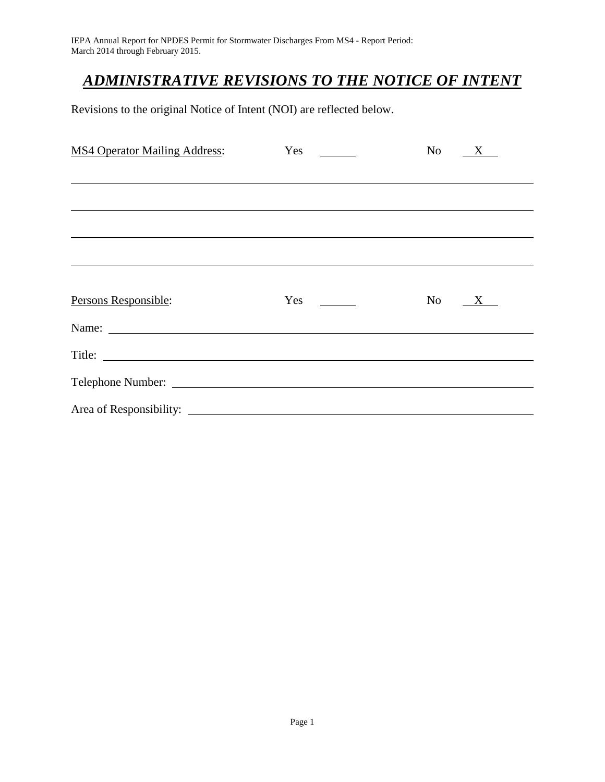# *ADMINISTRATIVE REVISIONS TO THE NOTICE OF INTENT*

Revisions to the original Notice of Intent (NOI) are reflected below.

| <b>MS4 Operator Mailing Address:</b> | Yes                             | No<br>X |
|--------------------------------------|---------------------------------|---------|
|                                      |                                 |         |
|                                      |                                 |         |
|                                      |                                 |         |
|                                      |                                 |         |
|                                      |                                 |         |
| Persons Responsible:                 | Yes<br><b>Contract Contract</b> | No X    |
| Name:                                |                                 |         |
| Title:                               |                                 |         |
|                                      |                                 |         |
| Area of Responsibility: _            |                                 |         |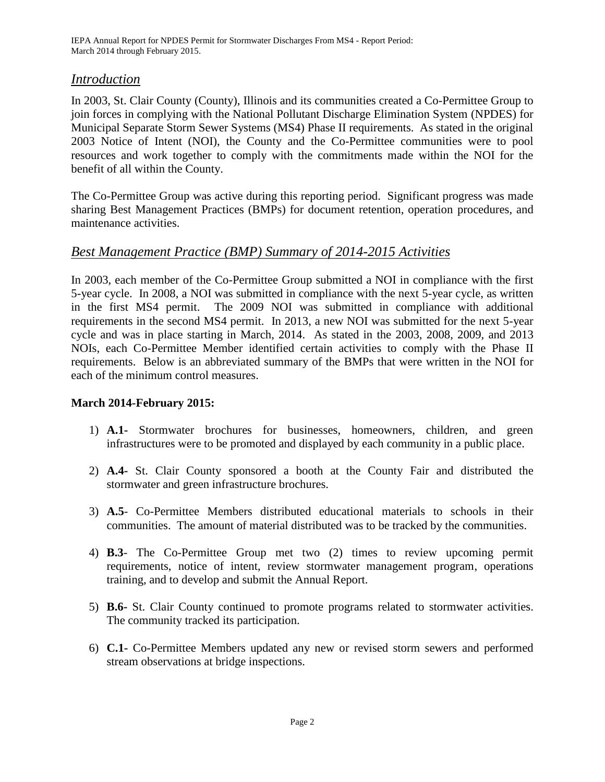### *Introduction*

In 2003, St. Clair County (County), Illinois and its communities created a Co-Permittee Group to join forces in complying with the National Pollutant Discharge Elimination System (NPDES) for Municipal Separate Storm Sewer Systems (MS4) Phase II requirements. As stated in the original 2003 Notice of Intent (NOI), the County and the Co-Permittee communities were to pool resources and work together to comply with the commitments made within the NOI for the benefit of all within the County.

The Co-Permittee Group was active during this reporting period. Significant progress was made sharing Best Management Practices (BMPs) for document retention, operation procedures, and maintenance activities.

### *Best Management Practice (BMP) Summary of 2014-2015 Activities*

In 2003, each member of the Co-Permittee Group submitted a NOI in compliance with the first 5-year cycle. In 2008, a NOI was submitted in compliance with the next 5-year cycle, as written in the first MS4 permit. The 2009 NOI was submitted in compliance with additional requirements in the second MS4 permit. In 2013, a new NOI was submitted for the next 5-year cycle and was in place starting in March, 2014. As stated in the 2003, 2008, 2009, and 2013 NOIs, each Co-Permittee Member identified certain activities to comply with the Phase II requirements. Below is an abbreviated summary of the BMPs that were written in the NOI for each of the minimum control measures.

#### **March 2014-February 2015:**

- 1) **A.1-** Stormwater brochures for businesses, homeowners, children, and green infrastructures were to be promoted and displayed by each community in a public place.
- 2) **A.4-** St. Clair County sponsored a booth at the County Fair and distributed the stormwater and green infrastructure brochures.
- 3) **A.5** Co-Permittee Members distributed educational materials to schools in their communities. The amount of material distributed was to be tracked by the communities.
- 4) **B.3** The Co-Permittee Group met two (2) times to review upcoming permit requirements, notice of intent, review stormwater management program, operations training, and to develop and submit the Annual Report.
- 5) **B.6-** St. Clair County continued to promote programs related to stormwater activities. The community tracked its participation.
- 6) **C.1-** Co-Permittee Members updated any new or revised storm sewers and performed stream observations at bridge inspections.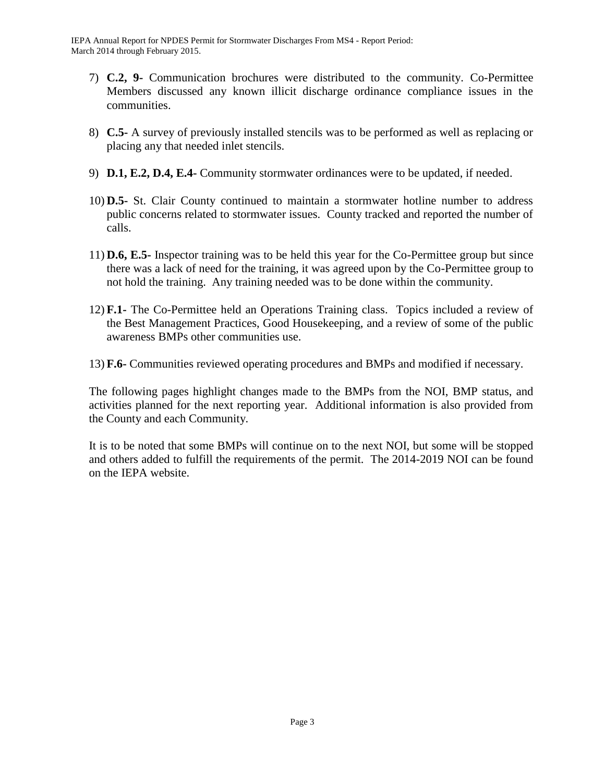IEPA Annual Report for NPDES Permit for Stormwater Discharges From MS4 - Report Period: March 2014 through February 2015.

- 7) **C.2, 9-** Communication brochures were distributed to the community. Co-Permittee Members discussed any known illicit discharge ordinance compliance issues in the communities.
- 8) **C.5-** A survey of previously installed stencils was to be performed as well as replacing or placing any that needed inlet stencils.
- 9) **D.1, E.2, D.4, E.4-** Community stormwater ordinances were to be updated, if needed.
- 10) **D.5-** St. Clair County continued to maintain a stormwater hotline number to address public concerns related to stormwater issues. County tracked and reported the number of calls.
- 11) **D.6, E.5-** Inspector training was to be held this year for the Co-Permittee group but since there was a lack of need for the training, it was agreed upon by the Co-Permittee group to not hold the training. Any training needed was to be done within the community.
- 12) **F.1-** The Co-Permittee held an Operations Training class. Topics included a review of the Best Management Practices, Good Housekeeping, and a review of some of the public awareness BMPs other communities use.
- 13) **F.6-** Communities reviewed operating procedures and BMPs and modified if necessary.

The following pages highlight changes made to the BMPs from the NOI, BMP status, and activities planned for the next reporting year. Additional information is also provided from the County and each Community.

It is to be noted that some BMPs will continue on to the next NOI, but some will be stopped and others added to fulfill the requirements of the permit. The 2014-2019 NOI can be found on the IEPA website.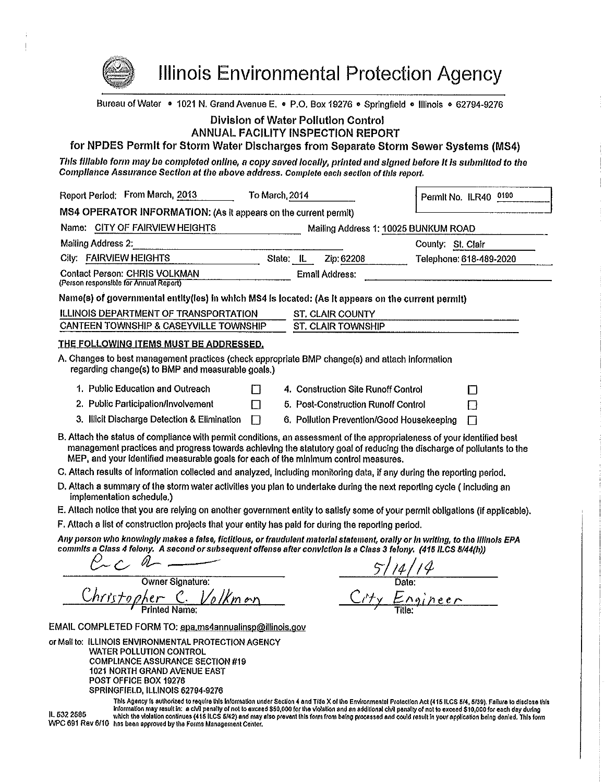Illinois Environmental Protection Agency Bureau of Water • 1021 N. Grand Avenue E. • P.O. Box 19276 • Springfield • Illinois • 62794-9276 **Division of Water Pollution Control ANNUAL FACILITY INSPECTION REPORT** for NPDES Permit for Storm Water Discharges from Separate Storm Sewer Systems (MS4) This fillable form may be completed online, a copy saved locally, printed and signed before it is submitted to the Compliance Assurance Section at the above address. Complete each section of this report. Report Period: From March, 2013 To March, 2014 Permit No. ILR40 0100 MS4 OPERATOR INFORMATION: (As it appears on the current permit) Mailing Address 1: 10025 BUNKUM ROAD Name: CITY OF FAIRVIEW HEIGHTS Mailing Address 2: County: St. Clair City: FAIRVIEW HEIGHTS State: IL Zip: 62208 Telephone: 618-489-2020 **Contact Person: CHRIS VOLKMAN Email Address:** (Person responsible for Annual Report) Name(s) of governmental entity(ies) in which MS4 is located: (As it appears on the current permit) **ILLINOIS DEPARTMENT OF TRANSPORTATION ST. CLAIR COUNTY** CANTEEN TOWNSHIP & CASEYVILLE TOWNSHIP **ST. CLAIR TOWNSHIP** THE FOLLOWING ITEMS MUST BE ADDRESSED. A. Changes to best management practices (check appropriate BMP change(s) and attach information regarding change(s) to BMP and measurable goals.) 1. Public Education and Outreach 4. Construction Site Runoff Control П П 2. Public Participation/Involvement П 5. Post-Construction Runoff Control П 3. Illicit Discharge Detection & Elimination  $\Box$ 6. Pollution Prevention/Good Housekeeping  $\Box$ B. Attach the status of compliance with permit conditions, an assessment of the appropriateness of your identified best management practices and progress towards achieving the statutory goal of reducing the discharge of pollutants to the MEP, and your identified measurable goals for each of the minimum control measures. C. Attach results of information collected and analyzed, including monitoring data, if any during the reporting period. D. Attach a summary of the storm water activities you plan to undertake during the next reporting cycle (including an implementation schedule.) E. Attach notice that you are relying on another government entity to satisfy some of your permit obligations (if applicable). F. Attach a list of construction projects that your entity has paid for during the reporting period. Any person who knowingly makes a false, fictitious, or fraudulent material statement, orally or in writing, to the illinois EPA commits a Class 4 felony. A second or subsequent offense after conviction is a Class 3 felony. (415 ILCS 5/44(h))  $\frac{14/14}{\text{Date}}$ <br>Engineer Owner Signature: <u>nristopher C. Volkman</u> EMAIL COMPLETED FORM TO: epa.ms4annualinsp@illinois.gov or Mail to: ILLINOIS ENVIRONMENTAL PROTECTION AGENCY **WATER POLLUTION CONTROL COMPLIANCE ASSURANCE SECTION #19** 1021 NORTH GRAND AVENUE EAST

POST OFFICE BOX 19276

SPRINGFIELD, ILLINOIS 62794-9276

This Agency is authorized to require this information under Section 4 and Title X of the Environmental Protection Act (415 ILCS 5/4, 5/39). Failure to disclose this Information may result in: a civil penalty of not to exceed \$50,000 for the violation and an additional civil penalty of not to exceed \$10,000 for each day during IL 532 2585 which the violation continues (415 ILCS 5/42) and may also prevent this form from being processed and could result in your application being denied. This form WPC 691 Rev 6/10 has been approved by the Forms Management Center.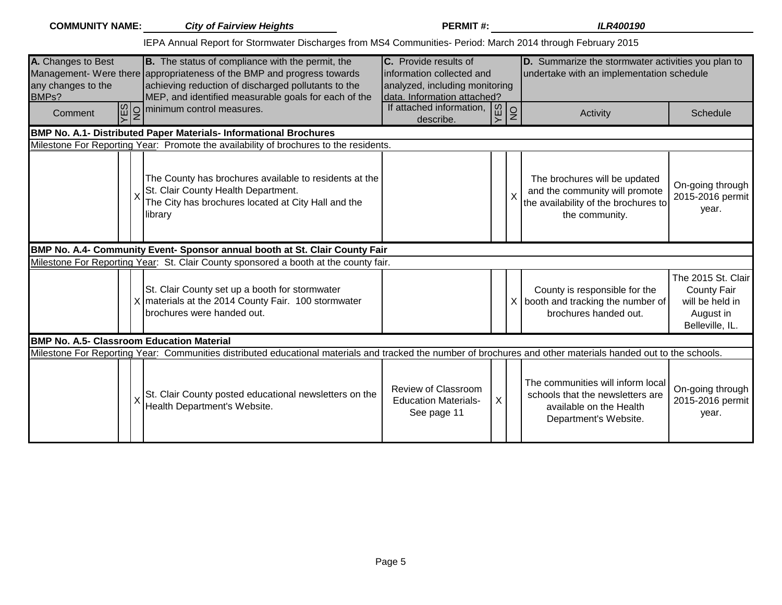| <b>COMMUNITY NAME:</b>                            | <b>City of Fairview Heights</b>                                                                                                                                                                                                           | <b>PERMIT#:</b>                                                                                                     |                | <b>ILR400190</b>                                                                                                          |                                                                                             |
|---------------------------------------------------|-------------------------------------------------------------------------------------------------------------------------------------------------------------------------------------------------------------------------------------------|---------------------------------------------------------------------------------------------------------------------|----------------|---------------------------------------------------------------------------------------------------------------------------|---------------------------------------------------------------------------------------------|
|                                                   | IEPA Annual Report for Stormwater Discharges from MS4 Communities- Period: March 2014 through February 2015                                                                                                                               |                                                                                                                     |                |                                                                                                                           |                                                                                             |
| A. Changes to Best<br>any changes to the<br>BMPs? | B. The status of compliance with the permit, the<br>Management- Were there appropriateness of the BMP and progress towards<br>achieving reduction of discharged pollutants to the<br>MEP, and identified measurable goals for each of the | C. Provide results of<br>information collected and<br>analyzed, including monitoring<br>data. Information attached? |                | D. Summarize the stormwater activities you plan to<br>undertake with an implementation schedule                           |                                                                                             |
| Comment                                           | $\boxed{\omega}_{Z}$ minimum control measures.                                                                                                                                                                                            | If attached information,<br>describe.                                                                               | ြို့<br>$\sim$ | $\frac{1}{2}$<br>Activity                                                                                                 | Schedule                                                                                    |
|                                                   | <b>BMP No. A.1- Distributed Paper Materials- Informational Brochures</b>                                                                                                                                                                  |                                                                                                                     |                |                                                                                                                           |                                                                                             |
|                                                   | Milestone For Reporting Year: Promote the availability of brochures to the residents.                                                                                                                                                     |                                                                                                                     |                |                                                                                                                           |                                                                                             |
|                                                   | The County has brochures available to residents at the<br>St. Clair County Health Department.<br>The City has brochures located at City Hall and the<br>library                                                                           |                                                                                                                     |                | The brochures will be updated<br>and the community will promote<br>the availability of the brochures to<br>the community. | On-going through<br>2015-2016 permit<br>year.                                               |
|                                                   | BMP No. A.4- Community Event- Sponsor annual booth at St. Clair County Fair                                                                                                                                                               |                                                                                                                     |                |                                                                                                                           |                                                                                             |
|                                                   | Milestone For Reporting Year: St. Clair County sponsored a booth at the county fair.                                                                                                                                                      |                                                                                                                     |                |                                                                                                                           |                                                                                             |
|                                                   | St. Clair County set up a booth for stormwater<br>X   materials at the 2014 County Fair. 100 stormwater<br>brochures were handed out.                                                                                                     |                                                                                                                     |                | County is responsible for the<br>$X$ booth and tracking the number of<br>brochures handed out.                            | The 2015 St. Clair<br><b>County Fair</b><br>will be held in<br>August in<br>Belleville, IL. |
| <b>BMP No. A.5- Classroom Education Material</b>  |                                                                                                                                                                                                                                           |                                                                                                                     |                |                                                                                                                           |                                                                                             |
|                                                   | Milestone For Reporting Year: Communities distributed educational materials and tracked the number of brochures and other materials handed out to the schools.                                                                            |                                                                                                                     |                |                                                                                                                           |                                                                                             |
|                                                   | St. Clair County posted educational newsletters on the<br>Health Department's Website.                                                                                                                                                    | Review of Classroom<br><b>Education Materials-</b><br>See page 11                                                   | $\mathsf{X}$   | The communities will inform local<br>schools that the newsletters are<br>available on the Health<br>Department's Website. | On-going through<br>2015-2016 permit<br>year.                                               |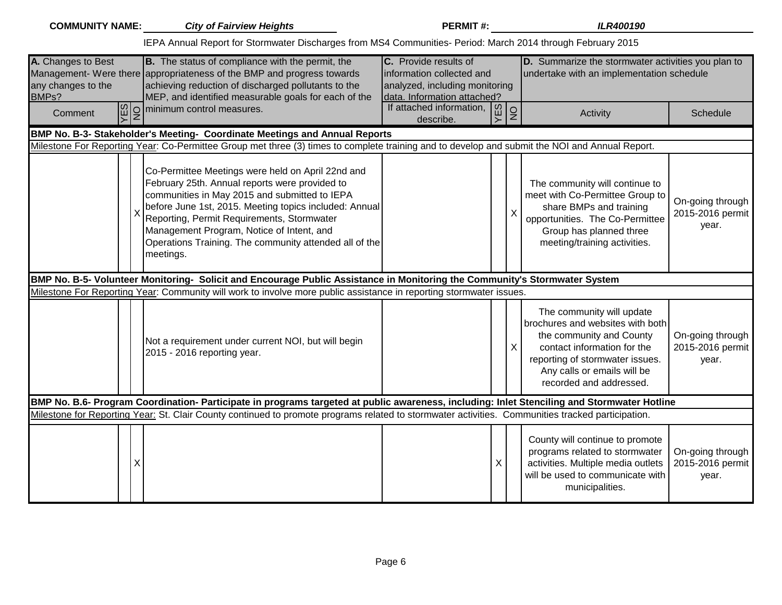|                                                   | <b>COMMUNITY NAME:</b> City of Fairview Heights                                                                                                                                                                                                                                                                                                                                  | <b>PERMIT#:</b>                                                                                                     |                         | <b>ILR400190</b>                                                                                                                                                                                                      |                                               |
|---------------------------------------------------|----------------------------------------------------------------------------------------------------------------------------------------------------------------------------------------------------------------------------------------------------------------------------------------------------------------------------------------------------------------------------------|---------------------------------------------------------------------------------------------------------------------|-------------------------|-----------------------------------------------------------------------------------------------------------------------------------------------------------------------------------------------------------------------|-----------------------------------------------|
|                                                   | IEPA Annual Report for Stormwater Discharges from MS4 Communities- Period: March 2014 through February 2015                                                                                                                                                                                                                                                                      |                                                                                                                     |                         |                                                                                                                                                                                                                       |                                               |
| A. Changes to Best<br>any changes to the<br>BMPs? | B. The status of compliance with the permit, the<br>Management- Were there appropriateness of the BMP and progress towards<br>achieving reduction of discharged pollutants to the<br>MEP, and identified measurable goals for each of the                                                                                                                                        | C. Provide results of<br>information collected and<br>analyzed, including monitoring<br>data. Information attached? |                         | D. Summarize the stormwater activities you plan to<br>undertake with an implementation schedule                                                                                                                       |                                               |
| Comment                                           | $\boxed{\frac{\omega}{\sum}}$ minimum control measures.                                                                                                                                                                                                                                                                                                                          | If attached information,<br>describe.                                                                               | <b>YES</b><br>$\vert$ 2 | Activity                                                                                                                                                                                                              | Schedule                                      |
|                                                   | BMP No. B-3- Stakeholder's Meeting- Coordinate Meetings and Annual Reports                                                                                                                                                                                                                                                                                                       |                                                                                                                     |                         |                                                                                                                                                                                                                       |                                               |
|                                                   | Milestone For Reporting Year: Co-Permittee Group met three (3) times to complete training and to develop and submit the NOI and Annual Report.                                                                                                                                                                                                                                   |                                                                                                                     |                         |                                                                                                                                                                                                                       |                                               |
|                                                   | Co-Permittee Meetings were held on April 22nd and<br>February 25th. Annual reports were provided to<br>communities in May 2015 and submitted to IEPA<br>before June 1st, 2015. Meeting topics included: Annual<br>Reporting, Permit Requirements, Stormwater<br>Management Program, Notice of Intent, and<br>Operations Training. The community attended all of the<br>meetings. |                                                                                                                     | X                       | The community will continue to<br>meet with Co-Permittee Group to<br>share BMPs and training<br>opportunities. The Co-Permittee<br>Group has planned three<br>meeting/training activities.                            | On-going through<br>2015-2016 permit<br>year. |
|                                                   | BMP No. B-5- Volunteer Monitoring- Solicit and Encourage Public Assistance in Monitoring the Community's Stormwater System                                                                                                                                                                                                                                                       |                                                                                                                     |                         |                                                                                                                                                                                                                       |                                               |
|                                                   | Milestone For Reporting Year: Community will work to involve more public assistance in reporting stormwater issues.                                                                                                                                                                                                                                                              |                                                                                                                     |                         |                                                                                                                                                                                                                       |                                               |
|                                                   | Not a requirement under current NOI, but will begin<br>2015 - 2016 reporting year.                                                                                                                                                                                                                                                                                               |                                                                                                                     | X                       | The community will update<br>brochures and websites with both<br>the community and County<br>contact information for the<br>reporting of stormwater issues.<br>Any calls or emails will be<br>recorded and addressed. | On-going through<br>2015-2016 permit<br>year. |
|                                                   | BMP No. B.6- Program Coordination- Participate in programs targeted at public awareness, including: Inlet Stenciling and Stormwater Hotline                                                                                                                                                                                                                                      |                                                                                                                     |                         |                                                                                                                                                                                                                       |                                               |
|                                                   | Milestone for Reporting Year: St. Clair County continued to promote programs related to stormwater activities. Communities tracked participation.                                                                                                                                                                                                                                |                                                                                                                     |                         |                                                                                                                                                                                                                       |                                               |
| X                                                 |                                                                                                                                                                                                                                                                                                                                                                                  |                                                                                                                     | X                       | County will continue to promote<br>programs related to stormwater<br>activities. Multiple media outlets<br>will be used to communicate with<br>municipalities.                                                        | On-going through<br>2015-2016 permit<br>year. |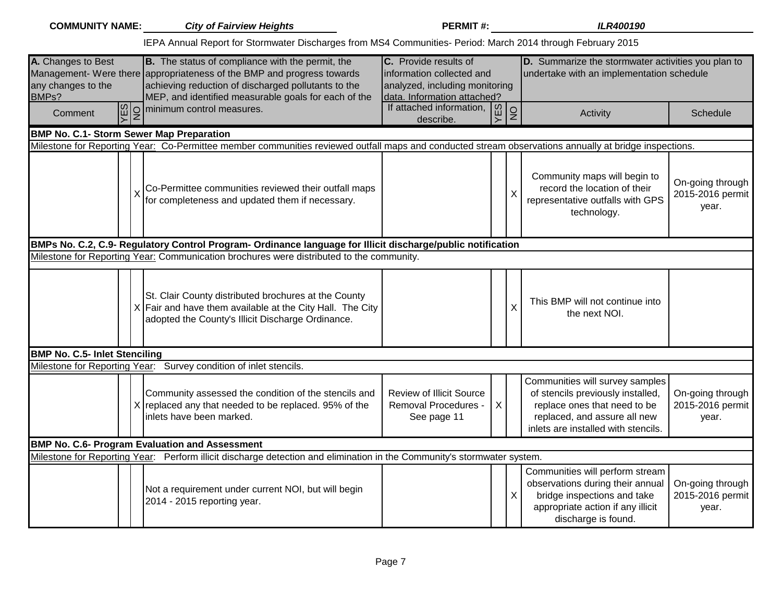| <b>COMMUNITY NAME:</b>                            | <b>City of Fairview Heights</b>                                                                                                                                                                                                           | <b>PERMIT#:</b>                                                                                                     |         | <b>ILR400190</b>                                                                                                                                                                                                             |
|---------------------------------------------------|-------------------------------------------------------------------------------------------------------------------------------------------------------------------------------------------------------------------------------------------|---------------------------------------------------------------------------------------------------------------------|---------|------------------------------------------------------------------------------------------------------------------------------------------------------------------------------------------------------------------------------|
|                                                   | IEPA Annual Report for Stormwater Discharges from MS4 Communities- Period: March 2014 through February 2015                                                                                                                               |                                                                                                                     |         |                                                                                                                                                                                                                              |
| A. Changes to Best<br>any changes to the<br>BMPs? | B. The status of compliance with the permit, the<br>Management- Were there appropriateness of the BMP and progress towards<br>achieving reduction of discharged pollutants to the<br>MEP, and identified measurable goals for each of the | C. Provide results of<br>information collected and<br>analyzed, including monitoring<br>data. Information attached? |         | D. Summarize the stormwater activities you plan to<br>undertake with an implementation schedule                                                                                                                              |
| SE<br>$\frac{1}{2}$<br>Comment                    | minimum control measures.                                                                                                                                                                                                                 | If attached information, $\boxed{\omega}$<br>describe.                                                              |         | Q<br>Activity<br>Schedule                                                                                                                                                                                                    |
| <b>BMP No. C.1- Storm Sewer Map Preparation</b>   |                                                                                                                                                                                                                                           |                                                                                                                     |         |                                                                                                                                                                                                                              |
|                                                   | Milestone for Reporting Year: Co-Permittee member communities reviewed outfall maps and conducted stream observations annually at bridge inspections.                                                                                     |                                                                                                                     |         |                                                                                                                                                                                                                              |
|                                                   | Co-Permittee communities reviewed their outfall maps<br>for completeness and updated them if necessary.                                                                                                                                   |                                                                                                                     |         | Community maps will begin to<br>On-going through<br>record the location of their<br>$\sf X$<br>2015-2016 permit<br>representative outfalls with GPS<br>year.<br>technology.                                                  |
|                                                   | BMPs No. C.2, C.9- Regulatory Control Program- Ordinance language for Illicit discharge/public notification                                                                                                                               |                                                                                                                     |         |                                                                                                                                                                                                                              |
|                                                   | Milestone for Reporting Year: Communication brochures were distributed to the community.                                                                                                                                                  |                                                                                                                     |         |                                                                                                                                                                                                                              |
|                                                   | St. Clair County distributed brochures at the County<br>$X$ Fair and have them available at the City Hall. The City<br>adopted the County's Illicit Discharge Ordinance.                                                                  |                                                                                                                     |         | This BMP will not continue into<br>X<br>the next NOI.                                                                                                                                                                        |
| <b>BMP No. C.5- Inlet Stenciling</b>              |                                                                                                                                                                                                                                           |                                                                                                                     |         |                                                                                                                                                                                                                              |
|                                                   | Milestone for Reporting Year: Survey condition of inlet stencils.                                                                                                                                                                         |                                                                                                                     |         |                                                                                                                                                                                                                              |
|                                                   | Community assessed the condition of the stencils and<br>X replaced any that needed to be replaced. 95% of the<br>inlets have been marked.                                                                                                 | <b>Review of Illicit Source</b><br><b>Removal Procedures -</b><br>See page 11                                       | $\sf X$ | Communities will survey samples<br>of stencils previously installed,<br>On-going through<br>replace ones that need to be<br>2015-2016 permit<br>replaced, and assure all new<br>year.<br>inlets are installed with stencils. |
|                                                   | <b>BMP No. C.6- Program Evaluation and Assessment</b>                                                                                                                                                                                     |                                                                                                                     |         |                                                                                                                                                                                                                              |
|                                                   | Milestone for Reporting Year: Perform illicit discharge detection and elimination in the Community's stormwater system.                                                                                                                   |                                                                                                                     |         |                                                                                                                                                                                                                              |
|                                                   | Not a requirement under current NOI, but will begin<br>2014 - 2015 reporting year.                                                                                                                                                        |                                                                                                                     |         | Communities will perform stream<br>observations during their annual<br>On-going through<br>2015-2016 permit<br>X<br>bridge inspections and take<br>appropriate action if any illicit<br>year.<br>discharge is found.         |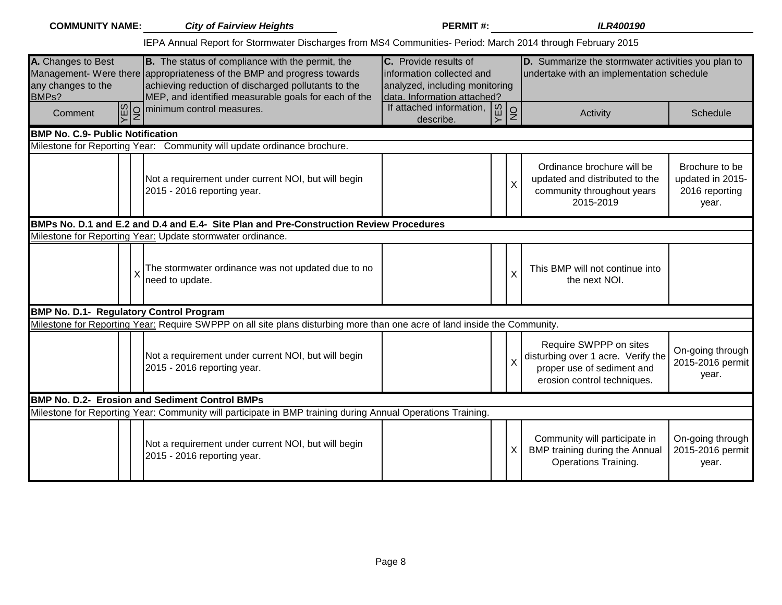|                                                   | <b>COMMUNITY NAME:</b> City of Fairview Heights                                                                                                                                                                                                  | <b>PERMIT#:</b>                                                                                                     |           |              | <b>ILR400190</b>                                                                                                          |                                                               |
|---------------------------------------------------|--------------------------------------------------------------------------------------------------------------------------------------------------------------------------------------------------------------------------------------------------|---------------------------------------------------------------------------------------------------------------------|-----------|--------------|---------------------------------------------------------------------------------------------------------------------------|---------------------------------------------------------------|
|                                                   | IEPA Annual Report for Stormwater Discharges from MS4 Communities- Period: March 2014 through February 2015                                                                                                                                      |                                                                                                                     |           |              |                                                                                                                           |                                                               |
| A. Changes to Best<br>any changes to the<br>BMPs? | <b>B.</b> The status of compliance with the permit, the<br>Management- Were there appropriateness of the BMP and progress towards<br>achieving reduction of discharged pollutants to the<br>MEP, and identified measurable goals for each of the | C. Provide results of<br>information collected and<br>analyzed, including monitoring<br>data. Information attached? |           |              | D. Summarize the stormwater activities you plan to<br>undertake with an implementation schedule                           |                                                               |
| $\frac{YES}{NO}$<br>Comment                       | minimum control measures.                                                                                                                                                                                                                        | If attached information,<br>describe.                                                                               | VES<br>NO |              | Activity                                                                                                                  | Schedule                                                      |
| <b>BMP No. C.9- Public Notification</b>           |                                                                                                                                                                                                                                                  |                                                                                                                     |           |              |                                                                                                                           |                                                               |
|                                                   | Milestone for Reporting Year: Community will update ordinance brochure.                                                                                                                                                                          |                                                                                                                     |           |              |                                                                                                                           |                                                               |
|                                                   | Not a requirement under current NOI, but will begin<br>2015 - 2016 reporting year.                                                                                                                                                               |                                                                                                                     |           | X            | Ordinance brochure will be<br>updated and distributed to the<br>community throughout years<br>2015-2019                   | Brochure to be<br>updated in 2015-<br>2016 reporting<br>year. |
|                                                   | BMPs No. D.1 and E.2 and D.4 and E.4- Site Plan and Pre-Construction Review Procedures                                                                                                                                                           |                                                                                                                     |           |              |                                                                                                                           |                                                               |
|                                                   | Milestone for Reporting Year: Update stormwater ordinance.                                                                                                                                                                                       |                                                                                                                     |           |              |                                                                                                                           |                                                               |
|                                                   | The stormwater ordinance was not updated due to no<br> need to update.                                                                                                                                                                           |                                                                                                                     |           | X            | This BMP will not continue into<br>the next NOI.                                                                          |                                                               |
| BMP No. D.1- Regulatory Control Program           |                                                                                                                                                                                                                                                  |                                                                                                                     |           |              |                                                                                                                           |                                                               |
|                                                   | Milestone for Reporting Year: Require SWPPP on all site plans disturbing more than one acre of land inside the Community.                                                                                                                        |                                                                                                                     |           |              |                                                                                                                           |                                                               |
|                                                   | Not a requirement under current NOI, but will begin<br>2015 - 2016 reporting year.                                                                                                                                                               |                                                                                                                     |           |              | Require SWPPP on sites<br>disturbing over 1 acre. Verify the<br>proper use of sediment and<br>erosion control techniques. | On-going through<br>2015-2016 permit<br>year.                 |
|                                                   | <b>BMP No. D.2- Erosion and Sediment Control BMPs</b>                                                                                                                                                                                            |                                                                                                                     |           |              |                                                                                                                           |                                                               |
|                                                   | Milestone for Reporting Year: Community will participate in BMP training during Annual Operations Training.                                                                                                                                      |                                                                                                                     |           |              |                                                                                                                           |                                                               |
|                                                   | Not a requirement under current NOI, but will begin<br>2015 - 2016 reporting year.                                                                                                                                                               |                                                                                                                     |           | $\mathsf{X}$ | Community will participate in<br>BMP training during the Annual<br>Operations Training.                                   | On-going through<br>2015-2016 permit<br>year.                 |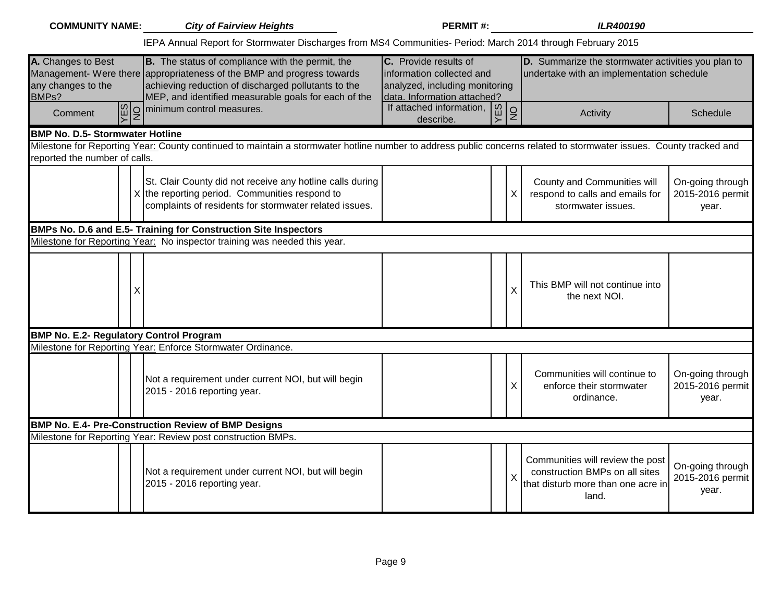| <b>COMMUNITY NAME:</b>                                                  | <b>City of Fairview Heights</b>                                                                                                                                                                                                           | <b>PERMIT#:</b>                                                                                                     |   | <b>ILR400190</b>                                                                                                  |                                               |
|-------------------------------------------------------------------------|-------------------------------------------------------------------------------------------------------------------------------------------------------------------------------------------------------------------------------------------|---------------------------------------------------------------------------------------------------------------------|---|-------------------------------------------------------------------------------------------------------------------|-----------------------------------------------|
|                                                                         | IEPA Annual Report for Stormwater Discharges from MS4 Communities- Period: March 2014 through February 2015                                                                                                                               |                                                                                                                     |   |                                                                                                                   |                                               |
| A. Changes to Best<br>any changes to the<br>BMPs?                       | B. The status of compliance with the permit, the<br>Management- Were there appropriateness of the BMP and progress towards<br>achieving reduction of discharged pollutants to the<br>MEP, and identified measurable goals for each of the | C. Provide results of<br>information collected and<br>analyzed, including monitoring<br>data. Information attached? |   | D. Summarize the stormwater activities you plan to<br>undertake with an implementation schedule                   |                                               |
| Comment                                                                 | $\boxed{\frac{\omega}{\epsilon}}$ minimum control measures.                                                                                                                                                                               | If attached information, $\begin{bmatrix} 0 \\ \mu \\ \lambda \end{bmatrix}$<br>describe.                           | g | Activity                                                                                                          | Schedule                                      |
| <b>BMP No. D.5- Stormwater Hotline</b><br>reported the number of calls. | Milestone for Reporting Year: County continued to maintain a stormwater hotline number to address public concerns related to stormwater issues. County tracked and                                                                        |                                                                                                                     |   |                                                                                                                   |                                               |
|                                                                         | St. Clair County did not receive any hotline calls during<br>$X$ the reporting period. Communities respond to<br>complaints of residents for stormwater related issues.                                                                   |                                                                                                                     | X | County and Communities will<br>respond to calls and emails for<br>stormwater issues.                              | On-going through<br>2015-2016 permit<br>year. |
|                                                                         | BMPs No. D.6 and E.5- Training for Construction Site Inspectors                                                                                                                                                                           |                                                                                                                     |   |                                                                                                                   |                                               |
|                                                                         | Milestone for Reporting Year: No inspector training was needed this year.                                                                                                                                                                 |                                                                                                                     |   |                                                                                                                   |                                               |
| Χ                                                                       |                                                                                                                                                                                                                                           |                                                                                                                     | X | This BMP will not continue into<br>the next NOI.                                                                  |                                               |
| <b>BMP No. E.2- Regulatory Control Program</b>                          |                                                                                                                                                                                                                                           |                                                                                                                     |   |                                                                                                                   |                                               |
|                                                                         | Milestone for Reporting Year: Enforce Stormwater Ordinance.                                                                                                                                                                               |                                                                                                                     |   |                                                                                                                   |                                               |
|                                                                         | Not a requirement under current NOI, but will begin<br>2015 - 2016 reporting year.                                                                                                                                                        |                                                                                                                     | Χ | Communities will continue to<br>enforce their stormwater<br>ordinance.                                            | On-going through<br>2015-2016 permit<br>year. |
|                                                                         | <b>BMP No. E.4- Pre-Construction Review of BMP Designs</b>                                                                                                                                                                                |                                                                                                                     |   |                                                                                                                   |                                               |
|                                                                         | Milestone for Reporting Year: Review post construction BMPs.                                                                                                                                                                              |                                                                                                                     |   |                                                                                                                   |                                               |
|                                                                         | Not a requirement under current NOI, but will begin<br>2015 - 2016 reporting year.                                                                                                                                                        |                                                                                                                     |   | Communities will review the post<br>construction BMPs on all sites<br>that disturb more than one acre in<br>land. | On-going through<br>2015-2016 permit<br>year. |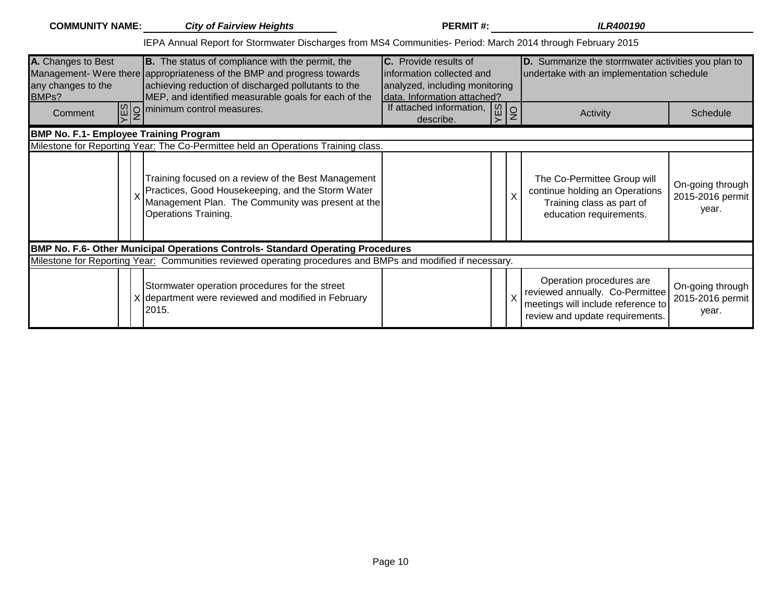| <b>COMMUNITY NAME:</b>                                         | <b>City of Fairview Heights</b>                                                                                                                                                                                                                  | <b>PERMIT#:</b>                                                                                                            |         | <b>ILR400190</b>                                                                                                                     |                                               |
|----------------------------------------------------------------|--------------------------------------------------------------------------------------------------------------------------------------------------------------------------------------------------------------------------------------------------|----------------------------------------------------------------------------------------------------------------------------|---------|--------------------------------------------------------------------------------------------------------------------------------------|-----------------------------------------------|
|                                                                | IEPA Annual Report for Stormwater Discharges from MS4 Communities- Period: March 2014 through February 2015                                                                                                                                      |                                                                                                                            |         |                                                                                                                                      |                                               |
| A. Changes to Best<br>any changes to the<br>BMP <sub>s</sub> ? | <b>B.</b> The status of compliance with the permit, the<br>Management- Were there appropriateness of the BMP and progress towards<br>achieving reduction of discharged pollutants to the<br>MEP, and identified measurable goals for each of the | <b>C.</b> Provide results of<br>information collected and<br>analyzed, including monitoring<br>data. Information attached? |         | D. Summarize the stormwater activities you plan to<br>undertake with an implementation schedule                                      |                                               |
| Comment                                                        | $\log$ o minimum control measures.                                                                                                                                                                                                               | If attached information,<br>$-10^{\circ}$<br>describe.                                                                     | $\circ$ | Activity                                                                                                                             | Schedule                                      |
| <b>BMP No. F.1- Employee Training Program</b>                  |                                                                                                                                                                                                                                                  |                                                                                                                            |         |                                                                                                                                      |                                               |
|                                                                | Milestone for Reporting Year: The Co-Permittee held an Operations Training class.                                                                                                                                                                |                                                                                                                            |         |                                                                                                                                      |                                               |
|                                                                | Training focused on a review of the Best Management<br>Practices, Good Housekeeping, and the Storm Water<br>Management Plan. The Community was present at the<br>Operations Training.                                                            |                                                                                                                            | х       | The Co-Permittee Group will<br>continue holding an Operations<br>Training class as part of<br>education requirements.                | On-going through<br>2015-2016 permit<br>year. |
|                                                                | BMP No. F.6- Other Municipal Operations Controls- Standard Operating Procedures                                                                                                                                                                  |                                                                                                                            |         |                                                                                                                                      |                                               |
|                                                                | Milestone for Reporting Year: Communities reviewed operating procedures and BMPs and modified if necessary.                                                                                                                                      |                                                                                                                            |         |                                                                                                                                      |                                               |
|                                                                | Stormwater operation procedures for the street<br>X department were reviewed and modified in February<br>2015.                                                                                                                                   |                                                                                                                            |         | Operation procedures are<br>reviewed annually. Co-Permittee<br>meetings will include reference to<br>review and update requirements. | On-going through<br>2015-2016 permit<br>year. |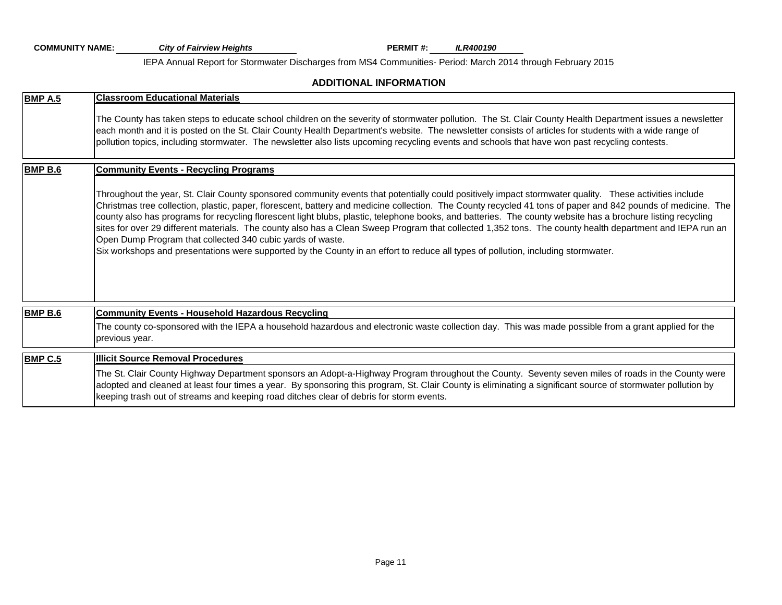**PERMIT #:** *ILR400190* **COMMUNITY NAME:** *City of Fairview Heights* IEPA Annual Report for Stormwater Discharges from MS4 Communities- Period: March 2014 through February 2015

#### **ADDITIONAL INFORMATION**

| <b>BMP A.5</b> | <b>Classroom Educational Materials</b>                                                                                                                                                                                                                                                                                                                                                                                                                                                                                                                                                                                                                                                                                                                                                                                                               |
|----------------|------------------------------------------------------------------------------------------------------------------------------------------------------------------------------------------------------------------------------------------------------------------------------------------------------------------------------------------------------------------------------------------------------------------------------------------------------------------------------------------------------------------------------------------------------------------------------------------------------------------------------------------------------------------------------------------------------------------------------------------------------------------------------------------------------------------------------------------------------|
|                | The County has taken steps to educate school children on the severity of stormwater pollution. The St. Clair County Health Department issues a newsletter<br>each month and it is posted on the St. Clair County Health Department's website. The newsletter consists of articles for students with a wide range of<br>pollution topics, including stormwater. The newsletter also lists upcoming recycling events and schools that have won past recycling contests.                                                                                                                                                                                                                                                                                                                                                                                |
| <b>BMP B.6</b> | <b>Community Events - Recycling Programs</b>                                                                                                                                                                                                                                                                                                                                                                                                                                                                                                                                                                                                                                                                                                                                                                                                         |
|                | Throughout the year, St. Clair County sponsored community events that potentially could positively impact stormwater quality. These activities include<br>Christmas tree collection, plastic, paper, florescent, battery and medicine collection. The County recycled 41 tons of paper and 842 pounds of medicine. The<br>county also has programs for recycling florescent light blubs, plastic, telephone books, and batteries. The county website has a brochure listing recycling<br>sites for over 29 different materials. The county also has a Clean Sweep Program that collected 1,352 tons. The county health department and IEPA run an<br>Open Dump Program that collected 340 cubic yards of waste.<br>Six workshops and presentations were supported by the County in an effort to reduce all types of pollution, including stormwater. |
| <b>BMP B.6</b> | <b>Community Events - Household Hazardous Recycling</b>                                                                                                                                                                                                                                                                                                                                                                                                                                                                                                                                                                                                                                                                                                                                                                                              |
|                | The county co-sponsored with the IEPA a household hazardous and electronic waste collection day. This was made possible from a grant applied for the<br>previous year.                                                                                                                                                                                                                                                                                                                                                                                                                                                                                                                                                                                                                                                                               |
| <b>BMP C.5</b> | <b>Illicit Source Removal Procedures</b>                                                                                                                                                                                                                                                                                                                                                                                                                                                                                                                                                                                                                                                                                                                                                                                                             |
|                | The St. Clair County Highway Department sponsors an Adopt-a-Highway Program throughout the County. Seventy seven miles of roads in the County were<br>adopted and cleaned at least four times a year. By sponsoring this program, St. Clair County is eliminating a significant source of stormwater pollution by<br>keeping trash out of streams and keeping road ditches clear of debris for storm events.                                                                                                                                                                                                                                                                                                                                                                                                                                         |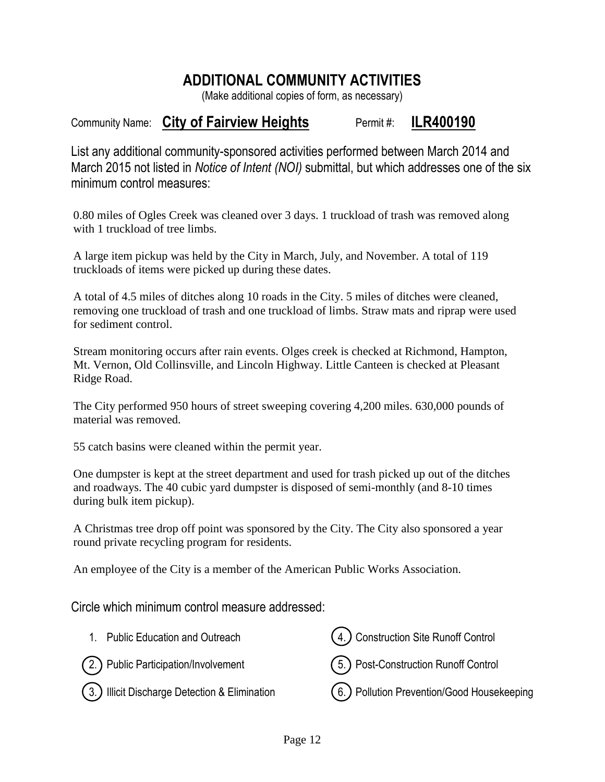# **ADDITIONAL COMMUNITY ACTIVITIES**

(Make additional copies of form, as necessary)

# Community Name: City of Fairview Heights **Interpretent #: ILR400190**

List any additional community-sponsored activities performed between March 2014 and March 2015 not listed in *Notice of Intent (NOI)* submittal, but which addresses one of the six minimum control measures:

0.80 miles of Ogles Creek was cleaned over 3 days. 1 truckload of trash was removed along with 1 truckload of tree limbs.

A large item pickup was held by the City in March, July, and November. A total of 119 truckloads of items were picked up during these dates.

A total of 4.5 miles of ditches along 10 roads in the City. 5 miles of ditches were cleaned, removing one truckload of trash and one truckload of limbs. Straw mats and riprap were used for sediment control.

Stream monitoring occurs after rain events. Olges creek is checked at Richmond, Hampton, Mt. Vernon, Old Collinsville, and Lincoln Highway. Little Canteen is checked at Pleasant Ridge Road.

The City performed 950 hours of street sweeping covering 4,200 miles. 630,000 pounds of material was removed.

55 catch basins were cleaned within the permit year.

One dumpster is kept at the street department and used for trash picked up out of the ditches and roadways. The 40 cubic yard dumpster is disposed of semi-monthly (and 8-10 times during bulk item pickup).

A Christmas tree drop off point was sponsored by the City. The City also sponsored a year round private recycling program for residents.

An employee of the City is a member of the American Public Works Association.

Circle which minimum control measure addressed: